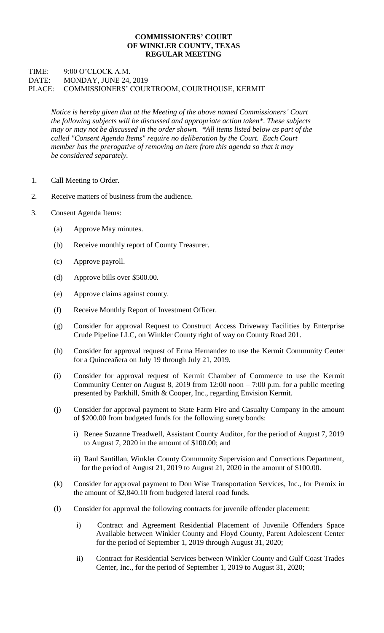## **COMMISSIONERS' COURT OF WINKLER COUNTY, TEXAS REGULAR MEETING**

## TIME: 9:00 O'CLOCK A.M. DATE: MONDAY, JUNE 24, 2019 PLACE: COMMISSIONERS' COURTROOM, COURTHOUSE, KERMIT

*Notice is hereby given that at the Meeting of the above named Commissioners' Court the following subjects will be discussed and appropriate action taken\*. These subjects may or may not be discussed in the order shown. \*All items listed below as part of the called "Consent Agenda Items" require no deliberation by the Court. Each Court member has the prerogative of removing an item from this agenda so that it may be considered separately.*

- 1. Call Meeting to Order.
- 2. Receive matters of business from the audience.
- 3. Consent Agenda Items:
	- (a) Approve May minutes.
	- (b) Receive monthly report of County Treasurer.
	- (c) Approve payroll.
	- (d) Approve bills over \$500.00.
	- (e) Approve claims against county.
	- (f) Receive Monthly Report of Investment Officer.
	- (g) Consider for approval Request to Construct Access Driveway Facilities by Enterprise Crude Pipeline LLC, on Winkler County right of way on County Road 201.
	- (h) Consider for approval request of Erma Hernandez to use the Kermit Community Center for a Quinceañera on July 19 through July 21, 2019.
	- (i) Consider for approval request of Kermit Chamber of Commerce to use the Kermit Community Center on August 8, 2019 from  $12:00$  noon  $-7:00$  p.m. for a public meeting presented by Parkhill, Smith & Cooper, Inc., regarding Envision Kermit.
	- (j) Consider for approval payment to State Farm Fire and Casualty Company in the amount of \$200.00 from budgeted funds for the following surety bonds:
		- i) Renee Suzanne Treadwell, Assistant County Auditor, for the period of August 7, 2019 to August 7, 2020 in the amount of \$100.00; and
		- ii) Raul Santillan, Winkler County Community Supervision and Corrections Department, for the period of August 21, 2019 to August 21, 2020 in the amount of \$100.00.
	- (k) Consider for approval payment to Don Wise Transportation Services, Inc., for Premix in the amount of \$2,840.10 from budgeted lateral road funds.
	- (l) Consider for approval the following contracts for juvenile offender placement:
		- i) Contract and Agreement Residential Placement of Juvenile Offenders Space Available between Winkler County and Floyd County, Parent Adolescent Center for the period of September 1, 2019 through August 31, 2020;
		- ii) Contract for Residential Services between Winkler County and Gulf Coast Trades Center, Inc., for the period of September 1, 2019 to August 31, 2020;